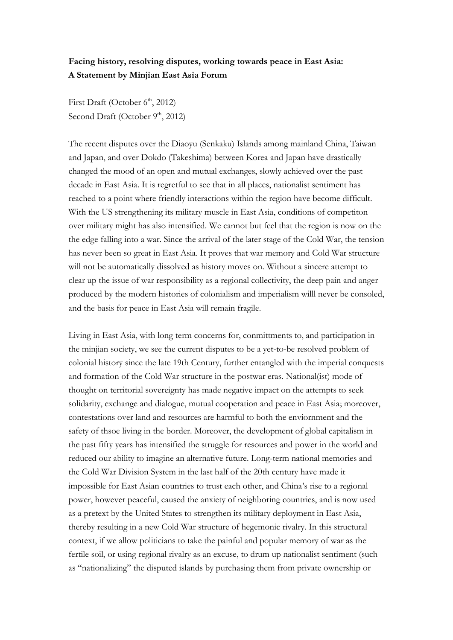## **Facing history, resolving disputes, working towards peace in East Asia: A Statement by Minjian East Asia Forum**

First Draft (October  $6<sup>th</sup>$ , 2012) Second Draft (October  $9<sup>th</sup>$ , 2012)

The recent disputes over the Diaoyu (Senkaku) Islands among mainland China, Taiwan and Japan, and over Dokdo (Takeshima) between Korea and Japan have drastically changed the mood of an open and mutual exchanges, slowly achieved over the past decade in East Asia. It is regretful to see that in all places, nationalist sentiment has reached to a point where friendly interactions within the region have become difficult. With the US strengthening its military muscle in East Asia, conditions of competiton over military might has also intensified. We cannot but feel that the region is now on the the edge falling into a war. Since the arrival of the later stage of the Cold War, the tension has never been so great in East Asia. It proves that war memory and Cold War structure will not be automatically dissolved as history moves on. Without a sincere attempt to clear up the issue of war responsibility as a regional collectivity, the deep pain and anger produced by the modern histories of colonialism and imperialism willl never be consoled, and the basis for peace in East Asia will remain fragile.

Living in East Asia, with long term concerns for, conmittments to, and participation in the minjian society, we see the current disputes to be a yet-to-be resolved problem of colonial history since the late 19th Century, further entangled with the imperial conquests and formation of the Cold War structure in the postwar eras. National(ist) mode of thought on territorial sovereignty has made negative impact on the attempts to seek solidarity, exchange and dialogue, mutual cooperation and peace in East Asia; moreover, contestations over land and resources are harmful to both the enviornment and the safety of thsoe living in the border. Moreover, the development of global capitalism in the past fifty years has intensified the struggle for resources and power in the world and reduced our ability to imagine an alternative future. Long-term national memories and the Cold War Division System in the last half of the 20th century have made it impossible for East Asian countries to trust each other, and China's rise to a regional power, however peaceful, caused the anxiety of neighboring countries, and is now used as a pretext by the United States to strengthen its military deployment in East Asia, thereby resulting in a new Cold War structure of hegemonic rivalry. In this structural context, if we allow politicians to take the painful and popular memory of war as the fertile soil, or using regional rivalry as an excuse, to drum up nationalist sentiment (such as "nationalizing" the disputed islands by purchasing them from private ownership or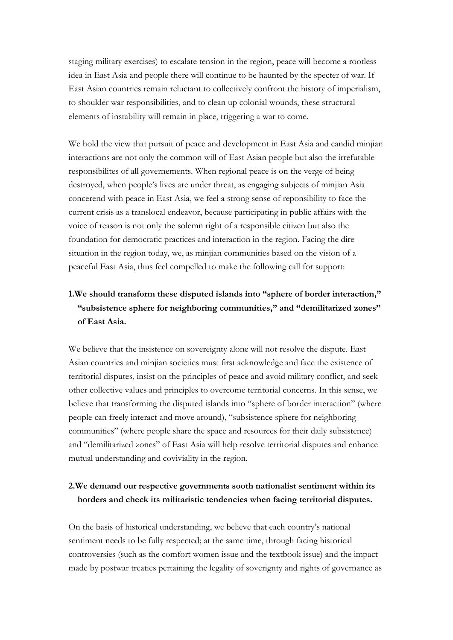staging military exercises) to escalate tension in the region, peace will become a rootless idea in East Asia and people there will continue to be haunted by the specter of war. If East Asian countries remain reluctant to collectively confront the history of imperialism, to shoulder war responsibilities, and to clean up colonial wounds, these structural elements of instability will remain in place, triggering a war to come.

We hold the view that pursuit of peace and development in East Asia and candid minjian interactions are not only the common will of East Asian people but also the irrefutable responsibilites of all governements. When regional peace is on the verge of being destroyed, when people's lives are under threat, as engaging subjects of minjian Asia concerend with peace in East Asia, we feel a strong sense of reponsibility to face the current crisis as a translocal endeavor, because participating in public affairs with the voice of reason is not only the solemn right of a responsible citizen but also the foundation for democratic practices and interaction in the region. Facing the dire situation in the region today, we, as minjian communities based on the vision of a peaceful East Asia, thus feel compelled to make the following call for support:

## **1.We should transform these disputed islands into "sphere of border interaction," "subsistence sphere for neighboring communities," and "demilitarized zones" of East Asia.**

We believe that the insistence on sovereignty alone will not resolve the dispute. East Asian countries and minjian societies must first acknowledge and face the existence of territorial disputes, insist on the principles of peace and avoid military conflict, and seek other collective values and principles to overcome territorial concerns. In this sense, we believe that transforming the disputed islands into "sphere of border interaction" (where people can freely interact and move around), "subsistence sphere for neighboring communities" (where people share the space and resources for their daily subsistence) and "demilitarized zones" of East Asia will help resolve territorial disputes and enhance mutual understanding and coviviality in the region.

## **2.We demand our respective governments sooth nationalist sentiment within its borders and check its militaristic tendencies when facing territorial disputes.**

On the basis of historical understanding, we believe that each country's national sentiment needs to be fully respected; at the same time, through facing historical controversies (such as the comfort women issue and the textbook issue) and the impact made by postwar treaties pertaining the legality of soverignty and rights of governance as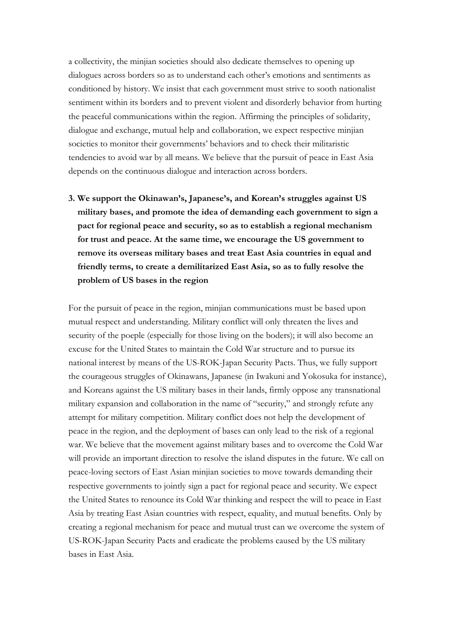a collectivity, the minjian societies should also dedicate themselves to opening up dialogues across borders so as to understand each other's emotions and sentiments as conditioned by history. We insist that each government must strive to sooth nationalist sentiment within its borders and to prevent violent and disorderly behavior from hurting the peaceful communications within the region. Affirming the principles of solidarity, dialogue and exchange, mutual help and collaboration, we expect respective minjian societies to monitor their governments' behaviors and to check their militaristic tendencies to avoid war by all means. We believe that the pursuit of peace in East Asia depends on the continuous dialogue and interaction across borders.

**3. We support the Okinawan's, Japanese's, and Korean's struggles against US military bases, and promote the idea of demanding each government to sign a pact for regional peace and security, so as to establish a regional mechanism for trust and peace. At the same time, we encourage the US government to remove its overseas military bases and treat East Asia countries in equal and friendly terms, to create a demilitarized East Asia, so as to fully resolve the problem of US bases in the region**

For the pursuit of peace in the region, minjian communications must be based upon mutual respect and understanding. Military conflict will only threaten the lives and security of the poeple (especially for those living on the boders); it will also become an excuse for the United States to maintain the Cold War structure and to pursue its national interest by means of the US-ROK-Japan Security Pacts. Thus, we fully support the courageous struggles of Okinawans, Japanese (in Iwakuni and Yokosuka for instance), and Koreans against the US military bases in their lands, firmly oppose any transnational military expansion and collaboration in the name of "security," and strongly refute any attempt for military competition. Military conflict does not help the development of peace in the region, and the deployment of bases can only lead to the risk of a regional war. We believe that the movement against military bases and to overcome the Cold War will provide an important direction to resolve the island disputes in the future. We call on peace-loving sectors of East Asian minjian societies to move towards demanding their respective governments to jointly sign a pact for regional peace and security. We expect the United States to renounce its Cold War thinking and respect the will to peace in East Asia by treating East Asian countries with respect, equality, and mutual benefits. Only by creating a regional mechanism for peace and mutual trust can we overcome the system of US-ROK-Japan Security Pacts and eradicate the problems caused by the US military bases in East Asia.